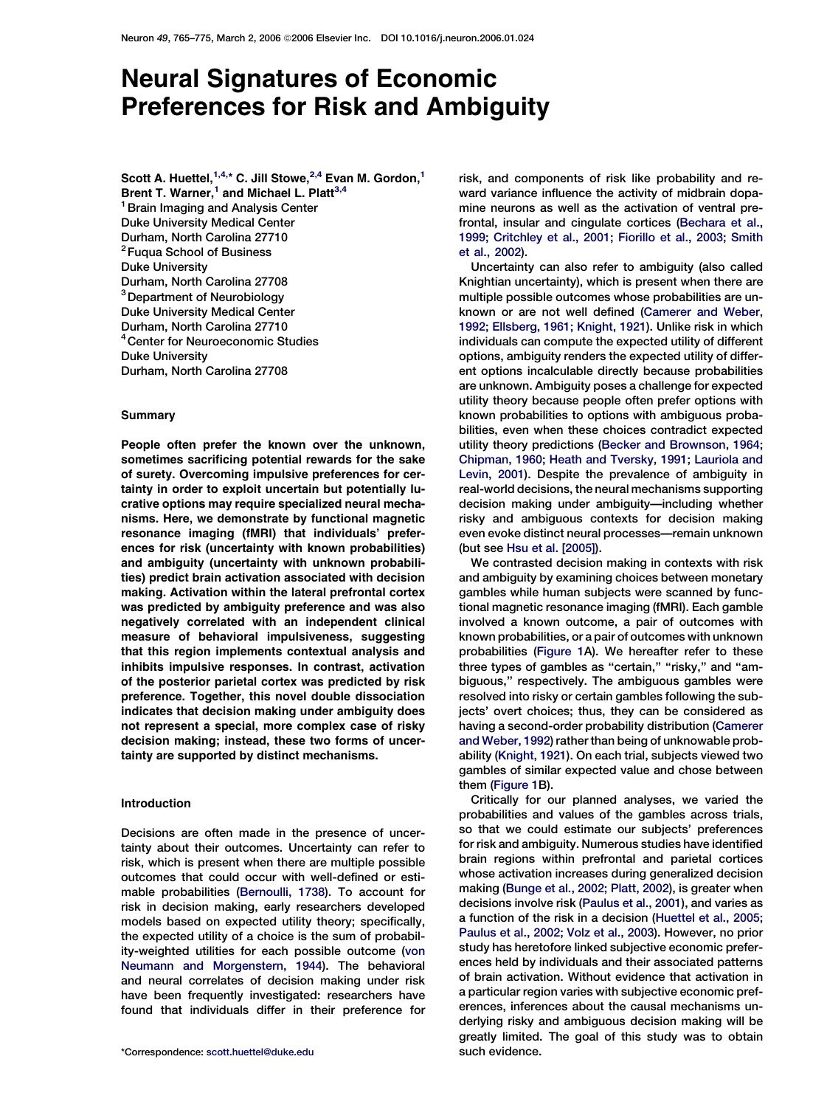# Neural Signatures of Economic Preferences for Risk and Ambiguity

Scott A. Huettel,  $^{1,4,*}$  C. Jill Stowe,  $^{2,4}$  Evan M. Gordon,  $^{1}$ Brent T. Warner, $1$  and Michael L. Platt $3,4$ <sup>1</sup> Brain Imaging and Analysis Center Duke University Medical Center Durham, North Carolina 27710 <sup>2</sup> Fuqua School of Business Duke University Durham, North Carolina 27708 <sup>3</sup> Department of Neurobiology Duke University Medical Center Durham, North Carolina 27710 4Center for Neuroeconomic Studies Duke University Durham, North Carolina 27708

## Summary

People often prefer the known over the unknown, sometimes sacrificing potential rewards for the sake of surety. Overcoming impulsive preferences for certainty in order to exploit uncertain but potentially lucrative options may require specialized neural mechanisms. Here, we demonstrate by functional magnetic resonance imaging (fMRI) that individuals' preferences for risk (uncertainty with known probabilities) and ambiguity (uncertainty with unknown probabilities) predict brain activation associated with decision making. Activation within the lateral prefrontal cortex was predicted by ambiguity preference and was also negatively correlated with an independent clinical measure of behavioral impulsiveness, suggesting that this region implements contextual analysis and inhibits impulsive responses. In contrast, activation of the posterior parietal cortex was predicted by risk preference. Together, this novel double dissociation indicates that decision making under ambiguity does not represent a special, more complex case of risky decision making; instead, these two forms of uncertainty are supported by distinct mechanisms.

## Introduction

Decisions are often made in the presence of uncertainty about their outcomes. Uncertainty can refer to risk, which is present when there are multiple possible outcomes that could occur with well-defined or estimable probabilities ([Bernoulli, 1738\)](#page-9-0). To account for risk in decision making, early researchers developed models based on expected utility theory; specifically, the expected utility of a choice is the sum of probability-weighted utilities for each possible outcome ([von](#page-10-0) [Neumann and Morgenstern, 1944](#page-10-0)). The behavioral and neural correlates of decision making under risk have been frequently investigated: researchers have found that individuals differ in their preference for risk, and components of risk like probability and reward variance influence the activity of midbrain dopamine neurons as well as the activation of ventral prefrontal, insular and cingulate cortices ([Bechara et al.,](#page-9-0) [1999; Critchley et al., 2001; Fiorillo et al., 2003; Smith](#page-9-0) [et al., 2002\)](#page-9-0).

Uncertainty can also refer to ambiguity (also called Knightian uncertainty), which is present when there are multiple possible outcomes whose probabilities are unknown or are not well defined ([Camerer and Weber,](#page-9-0) [1992; Ellsberg, 1961; Knight, 1921](#page-9-0)). Unlike risk in which individuals can compute the expected utility of different options, ambiguity renders the expected utility of different options incalculable directly because probabilities are unknown. Ambiguity poses a challenge for expected utility theory because people often prefer options with known probabilities to options with ambiguous probabilities, even when these choices contradict expected utility theory predictions ([Becker and Brownson, 1964;](#page-9-0) [Chipman, 1960; Heath and Tversky, 1991; Lauriola and](#page-9-0) [Levin, 2001\)](#page-9-0). Despite the prevalence of ambiguity in real-world decisions, the neural mechanisms supporting decision making under ambiguity—including whether risky and ambiguous contexts for decision making even evoke distinct neural processes—remain unknown (but see [Hsu et al. \[2005\]](#page-9-0)).

We contrasted decision making in contexts with risk and ambiguity by examining choices between monetary gambles while human subjects were scanned by functional magnetic resonance imaging (fMRI). Each gamble involved a known outcome, a pair of outcomes with known probabilities, or a pair of outcomes with unknown probabilities ([Figure 1](#page-1-0)A). We hereafter refer to these three types of gambles as ''certain,'' ''risky,'' and ''ambiguous,'' respectively. The ambiguous gambles were resolved into risky or certain gambles following the subjects' overt choices; thus, they can be considered as having a second-order probability distribution [\(Camerer](#page-9-0) [and Weber, 1992](#page-9-0)) rather than being of unknowable probability [\(Knight, 1921\)](#page-9-0). On each trial, subjects viewed two gambles of similar expected value and chose between them [\(Figure 1B](#page-1-0)).

Critically for our planned analyses, we varied the probabilities and values of the gambles across trials, so that we could estimate our subjects' preferences for risk and ambiguity. Numerous studies have identified brain regions within prefrontal and parietal cortices whose activation increases during generalized decision making ([Bunge et al., 2002; Platt, 2002](#page-9-0)), is greater when decisions involve risk ([Paulus et al., 2001](#page-9-0)), and varies as a function of the risk in a decision ([Huettel et al., 2005;](#page-9-0) [Paulus et al., 2002; Volz et al., 2003\)](#page-9-0). However, no prior study has heretofore linked subjective economic preferences held by individuals and their associated patterns of brain activation. Without evidence that activation in a particular region varies with subjective economic preferences, inferences about the causal mechanisms underlying risky and ambiguous decision making will be greatly limited. The goal of this study was to obtain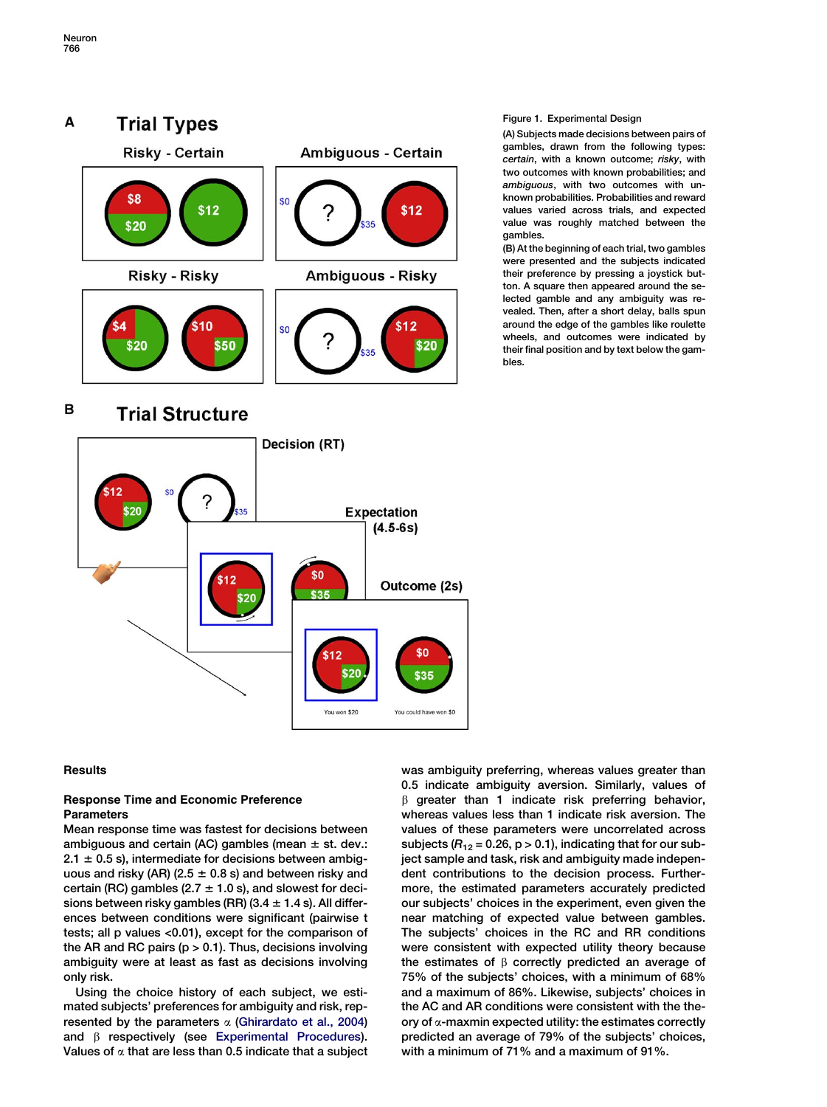<span id="page-1-0"></span>

B **Trial Structure** 



# **Results**

# Response Time and Economic Preference **Parameters**

Mean response time was fastest for decisions between ambiguous and certain (AC) gambles (mean  $\pm$  st. dev.:  $2.1 \pm 0.5$  s), intermediate for decisions between ambiguous and risky (AR) (2.5  $\pm$  0.8 s) and between risky and certain (RC) gambles (2.7  $\pm$  1.0 s), and slowest for decisions between risky gambles (RR) (3.4  $\pm$  1.4 s). All differences between conditions were significant (pairwise t tests; all p values <0.01), except for the comparison of the AR and RC pairs ( $p > 0.1$ ). Thus, decisions involving ambiguity were at least as fast as decisions involving only risk.

Using the choice history of each subject, we estimated subjects' preferences for ambiguity and risk, represented by the parameters  $\alpha$  ([Ghirardato et al., 2004\)](#page-9-0) and  $\beta$  respectively (see [Experimental Procedures](#page-7-0)). Values of  $\alpha$  that are less than 0.5 indicate that a subject

## Figure 1. Experimental Design

(A) Subjects made decisions between pairs of gambles, drawn from the following types: certain, with a known outcome; risky, with two outcomes with known probabilities; and ambiguous, with two outcomes with unknown probabilities. Probabilities and reward values varied across trials, and expected value was roughly matched between the gambles.

(B) At the beginning of each trial, two gambles were presented and the subjects indicated their preference by pressing a joystick button. A square then appeared around the selected gamble and any ambiguity was revealed. Then, after a short delay, balls spun around the edge of the gambles like roulette wheels, and outcomes were indicated by their final position and by text below the gambles.

was ambiguity preferring, whereas values greater than 0.5 indicate ambiguity aversion. Similarly, values of  $\beta$  greater than 1 indicate risk preferring behavior, whereas values less than 1 indicate risk aversion. The values of these parameters were uncorrelated across subjects ( $R_{12}$  = 0.26, p > 0.1), indicating that for our subject sample and task, risk and ambiguity made independent contributions to the decision process. Furthermore, the estimated parameters accurately predicted our subjects' choices in the experiment, even given the near matching of expected value between gambles. The subjects' choices in the RC and RR conditions were consistent with expected utility theory because the estimates of  $\beta$  correctly predicted an average of 75% of the subjects' choices, with a minimum of 68% and a maximum of 86%. Likewise, subjects' choices in the AC and AR conditions were consistent with the theory of  $\alpha$ -maxmin expected utility: the estimates correctly predicted an average of 79% of the subjects' choices, with a minimum of 71% and a maximum of 91%.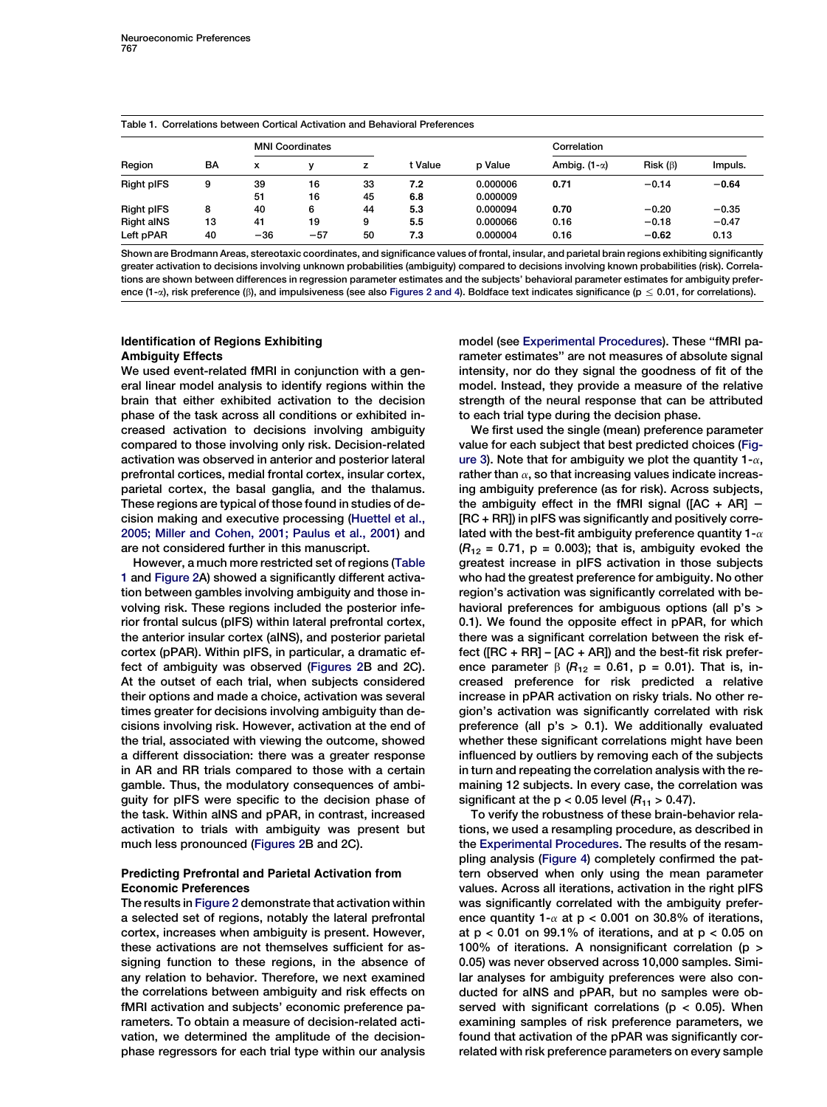| Table 1. Correlations between Cortical Activation and Behavioral Preferences |    |                        |          |          |            |                      |                       |                 |         |
|------------------------------------------------------------------------------|----|------------------------|----------|----------|------------|----------------------|-----------------------|-----------------|---------|
| Region                                                                       | BA | <b>MNI Coordinates</b> |          |          |            |                      | Correlation           |                 |         |
|                                                                              |    | x                      | v        | z        | t Value    | p Value              | Ambig. $(1 - \alpha)$ | $Risk( \beta )$ | Impuls. |
| <b>Right pIFS</b>                                                            | 9  | 39<br>51               | 16<br>16 | 33<br>45 | 7.2<br>6.8 | 0.000006<br>0.000009 | 0.71                  | $-0.14$         | $-0.64$ |
| <b>Right pIFS</b>                                                            | 8  | 40                     | 6        | 44       | 5.3        | 0.000094             | 0.70                  | $-0.20$         | $-0.35$ |
| <b>Right aINS</b>                                                            | 13 | 41                     | 19       | 9        | 5.5        | 0.000066             | 0.16                  | $-0.18$         | $-0.47$ |
| Left pPAR                                                                    | 40 | $-36$                  | $-57$    | 50       | 7.3        | 0.000004             | 0.16                  | $-0.62$         | 0.13    |

Shown are Brodmann Areas, stereotaxic coordinates, and significance values of frontal, insular, and parietal brain regions exhibiting significantly greater activation to decisions involving unknown probabilities (ambiguity) compared to decisions involving known probabilities (risk). Correlations are shown between differences in regression parameter estimates and the subjects' behavioral parameter estimates for ambiguity preference (1- $\alpha$ ), risk preference ( $\beta$ ), and impulsiveness (see also [Figures 2 and 4](#page-3-0)). Boldface text indicates significance ( $p \le 0.01$ , for correlations).

# Identification of Regions Exhibiting Ambiguity Effects

We used event-related fMRI in conjunction with a general linear model analysis to identify regions within the brain that either exhibited activation to the decision phase of the task across all conditions or exhibited increased activation to decisions involving ambiguity compared to those involving only risk. Decision-related activation was observed in anterior and posterior lateral prefrontal cortices, medial frontal cortex, insular cortex, parietal cortex, the basal ganglia, and the thalamus. These regions are typical of those found in studies of decision making and executive processing ([Huettel et al.,](#page-9-0) [2005; Miller and Cohen, 2001; Paulus et al., 2001\)](#page-9-0) and are not considered further in this manuscript.

However, a much more restricted set of regions (Table 1 and [Figure 2A](#page-3-0)) showed a significantly different activation between gambles involving ambiguity and those involving risk. These regions included the posterior inferior frontal sulcus (pIFS) within lateral prefrontal cortex, the anterior insular cortex (aINS), and posterior parietal cortex (pPAR). Within pIFS, in particular, a dramatic effect of ambiguity was observed ([Figures 2](#page-3-0)B and 2C). At the outset of each trial, when subjects considered their options and made a choice, activation was several times greater for decisions involving ambiguity than decisions involving risk. However, activation at the end of the trial, associated with viewing the outcome, showed a different dissociation: there was a greater response in AR and RR trials compared to those with a certain gamble. Thus, the modulatory consequences of ambiguity for pIFS were specific to the decision phase of the task. Within aINS and pPAR, in contrast, increased activation to trials with ambiguity was present but much less pronounced ([Figures 2B](#page-3-0) and 2C).

# Predicting Prefrontal and Parietal Activation from Economic Preferences

The results in [Figure 2](#page-3-0) demonstrate that activation within a selected set of regions, notably the lateral prefrontal cortex, increases when ambiguity is present. However, these activations are not themselves sufficient for assigning function to these regions, in the absence of any relation to behavior. Therefore, we next examined the correlations between ambiguity and risk effects on fMRI activation and subjects' economic preference parameters. To obtain a measure of decision-related activation, we determined the amplitude of the decisionphase regressors for each trial type within our analysis

model (see [Experimental Procedures\)](#page-7-0). These ''fMRI parameter estimates'' are not measures of absolute signal intensity, nor do they signal the goodness of fit of the model. Instead, they provide a measure of the relative strength of the neural response that can be attributed to each trial type during the decision phase.

We first used the single (mean) preference parameter value for each subject that best predicted choices ([Fig](#page-3-0)[ure 3](#page-3-0)). Note that for ambiguity we plot the quantity 1- $\alpha$ , rather than  $\alpha$ , so that increasing values indicate increasing ambiguity preference (as for risk). Across subjects, the ambiguity effect in the fMRI signal ( $[AC + AR]$  -[RC + RR]) in pIFS was significantly and positively correlated with the best-fit ambiguity preference quantity  $1-\alpha$  $(R_{12} = 0.71, p = 0.003)$ ; that is, ambiguity evoked the greatest increase in pIFS activation in those subjects who had the greatest preference for ambiguity. No other region's activation was significantly correlated with behavioral preferences for ambiguous options (all p's > 0.1). We found the opposite effect in pPAR, for which there was a significant correlation between the risk effect ( $[RC + RR] - [AC + AR]$ ) and the best-fit risk preference parameter  $\beta$  ( $R_{12}$  = 0.61, p = 0.01). That is, increased preference for risk predicted a relative increase in pPAR activation on risky trials. No other region's activation was significantly correlated with risk preference (all  $p's > 0.1$ ). We additionally evaluated whether these significant correlations might have been influenced by outliers by removing each of the subjects in turn and repeating the correlation analysis with the remaining 12 subjects. In every case, the correlation was significant at the  $p < 0.05$  level ( $R_{11} > 0.47$ ).

To verify the robustness of these brain-behavior relations, we used a resampling procedure, as described in the [Experimental Procedures](#page-7-0). The results of the resampling analysis [\(Figure 4\)](#page-4-0) completely confirmed the pattern observed when only using the mean parameter values. Across all iterations, activation in the right pIFS was significantly correlated with the ambiguity preference quantity 1- $\alpha$  at p < 0.001 on 30.8% of iterations, at  $p < 0.01$  on 99.1% of iterations, and at  $p < 0.05$  on 100% of iterations. A nonsignificant correlation (p > 0.05) was never observed across 10,000 samples. Similar analyses for ambiguity preferences were also conducted for aINS and pPAR, but no samples were observed with significant correlations ( $p < 0.05$ ). When examining samples of risk preference parameters, we found that activation of the pPAR was significantly correlated with risk preference parameters on every sample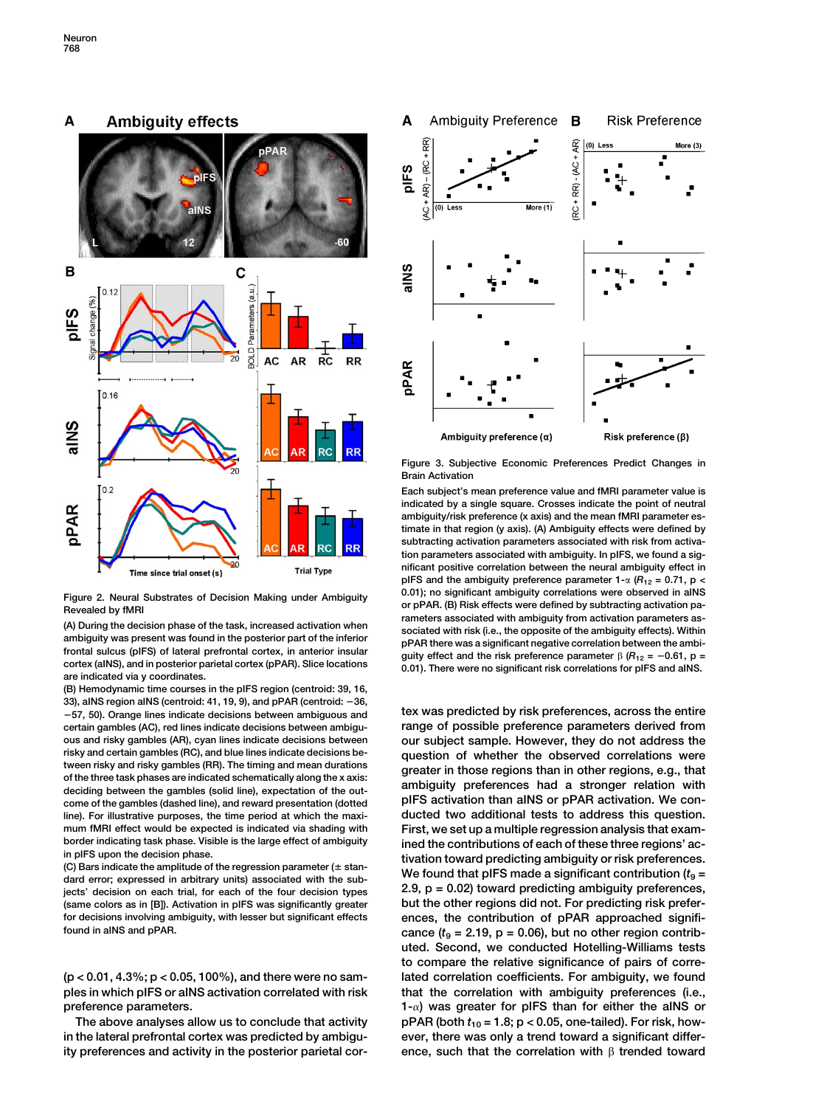<span id="page-3-0"></span>

Figure 2. Neural Substrates of Decision Making under Ambiguity Revealed by fMRI

(A) During the decision phase of the task, increased activation when ambiguity was present was found in the posterior part of the inferior frontal sulcus (pIFS) of lateral prefrontal cortex, in anterior insular cortex (aINS), and in posterior parietal cortex (pPAR). Slice locations are indicated via y coordinates.

(B) Hemodynamic time courses in the pIFS region (centroid: 39, 16, 33), aINS region aINS (centroid:  $41, 19, 9$ ), and pPAR (centroid:  $-36$ , -57, 50). Orange lines indicate decisions between ambiguous and certain gambles (AC), red lines indicate decisions between ambiguous and risky gambles (AR), cyan lines indicate decisions between risky and certain gambles (RC), and blue lines indicate decisions between risky and risky gambles (RR). The timing and mean durations of the three task phases are indicated schematically along the x axis: deciding between the gambles (solid line), expectation of the outcome of the gambles (dashed line), and reward presentation (dotted line). For illustrative purposes, the time period at which the maximum fMRI effect would be expected is indicated via shading with border indicating task phase. Visible is the large effect of ambiguity in pIFS upon the decision phase.

(C) Bars indicate the amplitude of the regression parameter  $(\pm$  standard error; expressed in arbitrary units) associated with the subjects' decision on each trial, for each of the four decision types (same colors as in [B]). Activation in pIFS was significantly greater for decisions involving ambiguity, with lesser but significant effects found in aINS and pPAR.

(p < 0.01, 4.3%; p < 0.05, 100%), and there were no samples in which pIFS or aINS activation correlated with risk preference parameters.

The above analyses allow us to conclude that activity in the lateral prefrontal cortex was predicted by ambiguity preferences and activity in the posterior parietal cor-



Figure 3. Subjective Economic Preferences Predict Changes in Brain Activation

Each subject's mean preference value and fMRI parameter value is indicated by a single square. Crosses indicate the point of neutral ambiguity/risk preference (x axis) and the mean fMRI parameter estimate in that region (y axis). (A) Ambiguity effects were defined by subtracting activation parameters associated with risk from activation parameters associated with ambiguity. In pIFS, we found a significant positive correlation between the neural ambiguity effect in pIFS and the ambiguity preference parameter 1- $\alpha$  ( $R_{12}$  = 0.71, p < 0.01); no significant ambiguity correlations were observed in aINS or pPAR. (B) Risk effects were defined by subtracting activation parameters associated with ambiguity from activation parameters associated with risk (i.e., the opposite of the ambiguity effects). Within pPAR there was a significant negative correlation between the ambiguity effect and the risk preference parameter  $\beta$  ( $R_{12} = -0.61$ , p = 0.01). There were no significant risk correlations for pIFS and aINS.

tex was predicted by risk preferences, across the entire range of possible preference parameters derived from our subject sample. However, they do not address the question of whether the observed correlations were greater in those regions than in other regions, e.g., that ambiguity preferences had a stronger relation with pIFS activation than aINS or pPAR activation. We conducted two additional tests to address this question. First, we set up a multiple regression analysis that examined the contributions of each of these three regions' activation toward predicting ambiguity or risk preferences. We found that pIFS made a significant contribution  $(t_9 =$ 2.9, p = 0.02) toward predicting ambiguity preferences, but the other regions did not. For predicting risk preferences, the contribution of pPAR approached significance  $(t_9 = 2.19, p = 0.06)$ , but no other region contributed. Second, we conducted Hotelling-Williams tests to compare the relative significance of pairs of correlated correlation coefficients. For ambiguity, we found that the correlation with ambiguity preferences (i.e., 1- $\alpha$ ) was greater for pIFS than for either the aINS or pPAR (both  $t_{10}$  = 1.8; p < 0.05, one-tailed). For risk, however, there was only a trend toward a significant difference, such that the correlation with  $\beta$  trended toward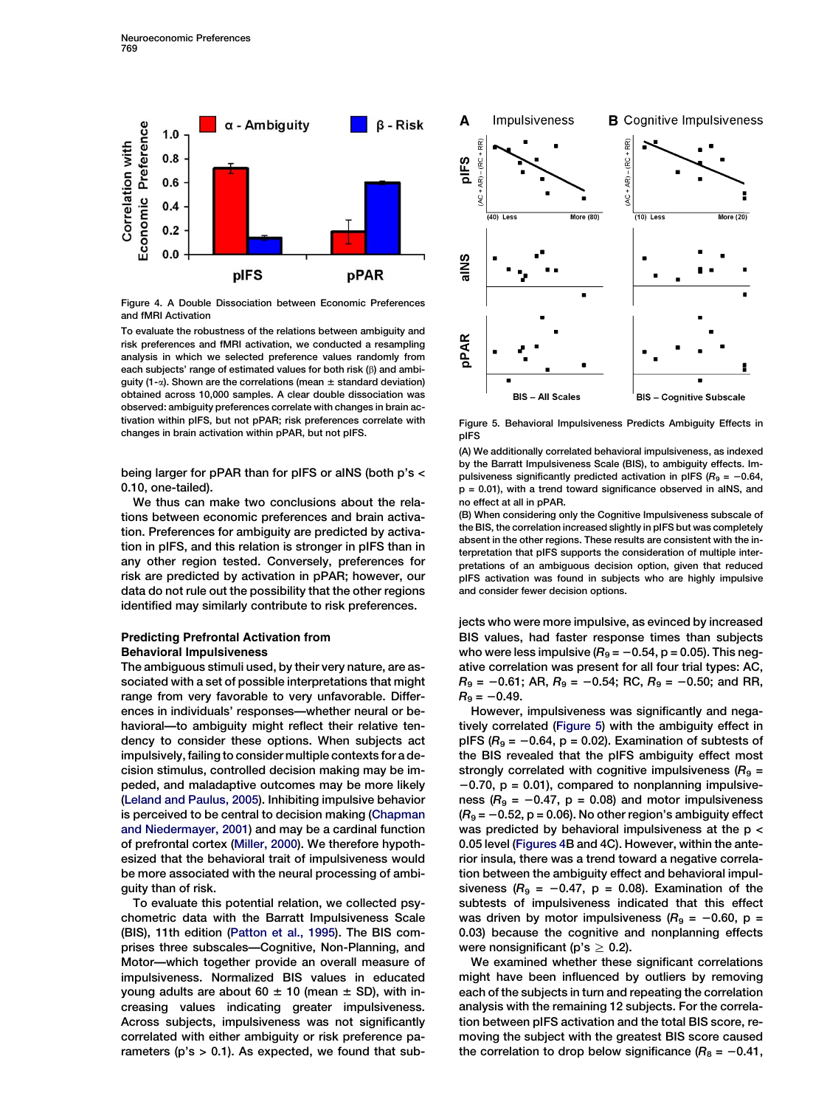<span id="page-4-0"></span>

Figure 4. A Double Dissociation between Economic Preferences and fMRI Activation

To evaluate the robustness of the relations between ambiguity and risk preferences and fMRI activation, we conducted a resampling analysis in which we selected preference values randomly from each subjects' range of estimated values for both risk ( $\beta$ ) and ambiguity (1- $\alpha$ ). Shown are the correlations (mean  $\pm$  standard deviation) obtained across 10,000 samples. A clear double dissociation was observed: ambiguity preferences correlate with changes in brain activation within pIFS, but not pPAR; risk preferences correlate with changes in brain activation within pPAR, but not pIFS.

being larger for pPAR than for pIFS or aINS (both p's < 0.10, one-tailed).

We thus can make two conclusions about the relations between economic preferences and brain activation. Preferences for ambiguity are predicted by activation in pIFS, and this relation is stronger in pIFS than in any other region tested. Conversely, preferences for risk are predicted by activation in pPAR; however, our data do not rule out the possibility that the other regions identified may similarly contribute to risk preferences.

# Predicting Prefrontal Activation from Behavioral Impulsiveness

The ambiguous stimuli used, by their very nature, are associated with a set of possible interpretations that might range from very favorable to very unfavorable. Differences in individuals' responses—whether neural or behavioral—to ambiguity might reflect their relative tendency to consider these options. When subjects act impulsively, failing to consider multiple contexts for a decision stimulus, controlled decision making may be impeded, and maladaptive outcomes may be more likely [\(Leland and Paulus, 2005\)](#page-9-0). Inhibiting impulsive behavior is perceived to be central to decision making [\(Chapman](#page-9-0) [and Niedermayer, 2001\)](#page-9-0) and may be a cardinal function of prefrontal cortex ([Miller, 2000](#page-9-0)). We therefore hypothesized that the behavioral trait of impulsiveness would be more associated with the neural processing of ambiguity than of risk.

To evaluate this potential relation, we collected psychometric data with the Barratt Impulsiveness Scale (BIS), 11th edition [\(Patton et al., 1995\)](#page-9-0). The BIS comprises three subscales—Cognitive, Non-Planning, and Motor—which together provide an overall measure of impulsiveness. Normalized BIS values in educated young adults are about 60  $\pm$  10 (mean  $\pm$  SD), with increasing values indicating greater impulsiveness. Across subjects, impulsiveness was not significantly correlated with either ambiguity or risk preference parameters ( $p's > 0.1$ ). As expected, we found that sub-



Figure 5. Behavioral Impulsiveness Predicts Ambiguity Effects in pIFS

(A) We additionally correlated behavioral impulsiveness, as indexed by the Barratt Impulsiveness Scale (BIS), to ambiguity effects. Impulsiveness significantly predicted activation in pIFS ( $R_9 = -0.64$ , p = 0.01), with a trend toward significance observed in aINS, and no effect at all in pPAR.

(B) When considering only the Cognitive Impulsiveness subscale of the BIS, the correlation increased slightly in pIFS but was completely absent in the other regions. These results are consistent with the interpretation that pIFS supports the consideration of multiple interpretations of an ambiguous decision option, given that reduced pIFS activation was found in subjects who are highly impulsive and consider fewer decision options.

jects who were more impulsive, as evinced by increased BIS values, had faster response times than subjects who were less impulsive ( $R_9 = -0.54$ , p = 0.05). This negative correlation was present for all four trial types: AC,  $R_9 = -0.61$ ; AR,  $R_9 = -0.54$ ; RC,  $R_9 = -0.50$ ; and RR,  $R_9 = -0.49$ .

However, impulsiveness was significantly and negatively correlated (Figure 5) with the ambiguity effect in pIFS ( $R<sub>9</sub> = -0.64$ , p = 0.02). Examination of subtests of the BIS revealed that the pIFS ambiguity effect most strongly correlated with cognitive impulsiveness ( $R<sub>9</sub>$  =  $-0.70$ ,  $p = 0.01$ ), compared to nonplanning impulsiveness ( $R_9 = -0.47$ , p = 0.08) and motor impulsiveness  $(R<sub>9</sub> = -0.52, p = 0.06)$ . No other region's ambiguity effect was predicted by behavioral impulsiveness at the p < 0.05 level (Figures 4B and 4C). However, within the anterior insula, there was a trend toward a negative correlation between the ambiguity effect and behavioral impulsiveness ( $R<sub>9</sub> = -0.47$ , p = 0.08). Examination of the subtests of impulsiveness indicated that this effect was driven by motor impulsiveness ( $R_9 = -0.60$ , p = 0.03) because the cognitive and nonplanning effects were nonsignificant (p's  $\geq$  0.2).

We examined whether these significant correlations might have been influenced by outliers by removing each of the subjects in turn and repeating the correlation analysis with the remaining 12 subjects. For the correlation between pIFS activation and the total BIS score, removing the subject with the greatest BIS score caused the correlation to drop below significance ( $R_8 = -0.41$ ,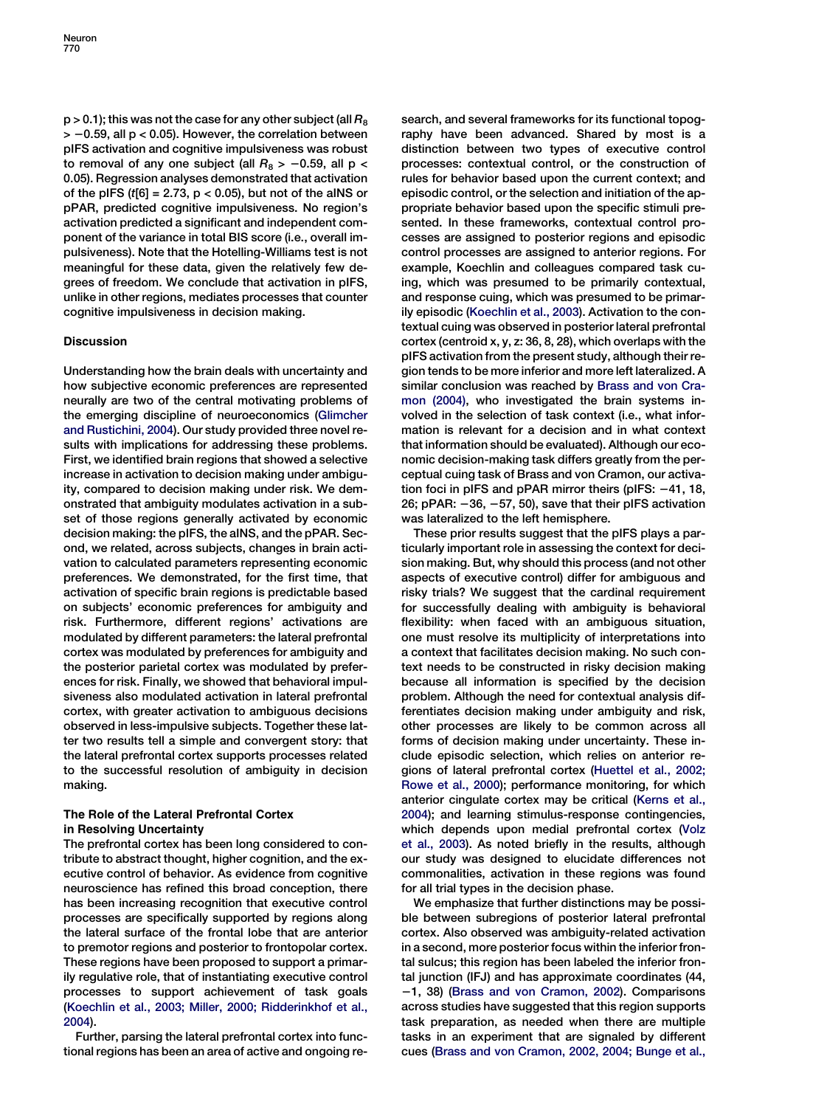$p > 0.1$ ); this was not the case for any other subject (all  $R_8$  $> -0.59$ , all p < 0.05). However, the correlation between pIFS activation and cognitive impulsiveness was robust to removal of any one subject (all  $R_8 > -0.59$ , all p < 0.05). Regression analyses demonstrated that activation of the pIFS  $(t[6] = 2.73, p < 0.05)$ , but not of the aINS or pPAR, predicted cognitive impulsiveness. No region's activation predicted a significant and independent component of the variance in total BIS score (i.e., overall impulsiveness). Note that the Hotelling-Williams test is not meaningful for these data, given the relatively few degrees of freedom. We conclude that activation in pIFS, unlike in other regions, mediates processes that counter cognitive impulsiveness in decision making.

## Discussion

Understanding how the brain deals with uncertainty and how subjective economic preferences are represented neurally are two of the central motivating problems of the emerging discipline of neuroeconomics [\(Glimcher](#page-9-0) [and Rustichini, 2004\)](#page-9-0). Our study provided three novel results with implications for addressing these problems. First, we identified brain regions that showed a selective increase in activation to decision making under ambiguity, compared to decision making under risk. We demonstrated that ambiguity modulates activation in a subset of those regions generally activated by economic decision making: the pIFS, the aINS, and the pPAR. Second, we related, across subjects, changes in brain activation to calculated parameters representing economic preferences. We demonstrated, for the first time, that activation of specific brain regions is predictable based on subjects' economic preferences for ambiguity and risk. Furthermore, different regions' activations are modulated by different parameters: the lateral prefrontal cortex was modulated by preferences for ambiguity and the posterior parietal cortex was modulated by preferences for risk. Finally, we showed that behavioral impulsiveness also modulated activation in lateral prefrontal cortex, with greater activation to ambiguous decisions observed in less-impulsive subjects. Together these latter two results tell a simple and convergent story: that the lateral prefrontal cortex supports processes related to the successful resolution of ambiguity in decision making.

## The Role of the Lateral Prefrontal Cortex in Resolving Uncertainty

The prefrontal cortex has been long considered to contribute to abstract thought, higher cognition, and the executive control of behavior. As evidence from cognitive neuroscience has refined this broad conception, there has been increasing recognition that executive control processes are specifically supported by regions along the lateral surface of the frontal lobe that are anterior to premotor regions and posterior to frontopolar cortex. These regions have been proposed to support a primarily regulative role, that of instantiating executive control processes to support achievement of task goals [\(Koechlin et al., 2003; Miller, 2000; Ridderinkhof et al.,](#page-9-0) [2004\)](#page-9-0).

Further, parsing the lateral prefrontal cortex into functional regions has been an area of active and ongoing re-

search, and several frameworks for its functional topography have been advanced. Shared by most is a distinction between two types of executive control processes: contextual control, or the construction of rules for behavior based upon the current context; and episodic control, or the selection and initiation of the appropriate behavior based upon the specific stimuli presented. In these frameworks, contextual control processes are assigned to posterior regions and episodic control processes are assigned to anterior regions. For example, Koechlin and colleagues compared task cuing, which was presumed to be primarily contextual, and response cuing, which was presumed to be primarily episodic [\(Koechlin et al., 2003\)](#page-9-0). Activation to the contextual cuing was observed in posterior lateral prefrontal cortex (centroid x, y, z: 36, 8, 28), which overlaps with the pIFS activation from the present study, although their region tends to be more inferior and more left lateralized. A similar conclusion was reached by [Brass and von Cra](#page-9-0)[mon \(2004\),](#page-9-0) who investigated the brain systems involved in the selection of task context (i.e., what information is relevant for a decision and in what context that information should be evaluated). Although our economic decision-making task differs greatly from the perceptual cuing task of Brass and von Cramon, our activation foci in pIFS and pPAR mirror theirs (pIFS:  $-41$ , 18, 26; pPAR:  $-36$ ,  $-57$ , 50), save that their pIFS activation was lateralized to the left hemisphere.

These prior results suggest that the pIFS plays a particularly important role in assessing the context for decision making. But, why should this process (and not other aspects of executive control) differ for ambiguous and risky trials? We suggest that the cardinal requirement for successfully dealing with ambiguity is behavioral flexibility: when faced with an ambiguous situation, one must resolve its multiplicity of interpretations into a context that facilitates decision making. No such context needs to be constructed in risky decision making because all information is specified by the decision problem. Although the need for contextual analysis differentiates decision making under ambiguity and risk, other processes are likely to be common across all forms of decision making under uncertainty. These include episodic selection, which relies on anterior regions of lateral prefrontal cortex [\(Huettel et al., 2002;](#page-9-0) [Rowe et al., 2000\)](#page-9-0); performance monitoring, for which anterior cingulate cortex may be critical [\(Kerns et al.,](#page-9-0) [2004\)](#page-9-0); and learning stimulus-response contingencies, which depends upon medial prefrontal cortex ([Volz](#page-10-0) [et al., 2003](#page-10-0)). As noted briefly in the results, although our study was designed to elucidate differences not commonalities, activation in these regions was found for all trial types in the decision phase.

We emphasize that further distinctions may be possible between subregions of posterior lateral prefrontal cortex. Also observed was ambiguity-related activation in a second, more posterior focus within the inferior frontal sulcus; this region has been labeled the inferior frontal junction (IFJ) and has approximate coordinates (44, -1, 38) ([Brass and von Cramon, 2002\)](#page-9-0). Comparisons across studies have suggested that this region supports task preparation, as needed when there are multiple tasks in an experiment that are signaled by different cues ([Brass and von Cramon, 2002, 2004; Bunge et al.,](#page-9-0)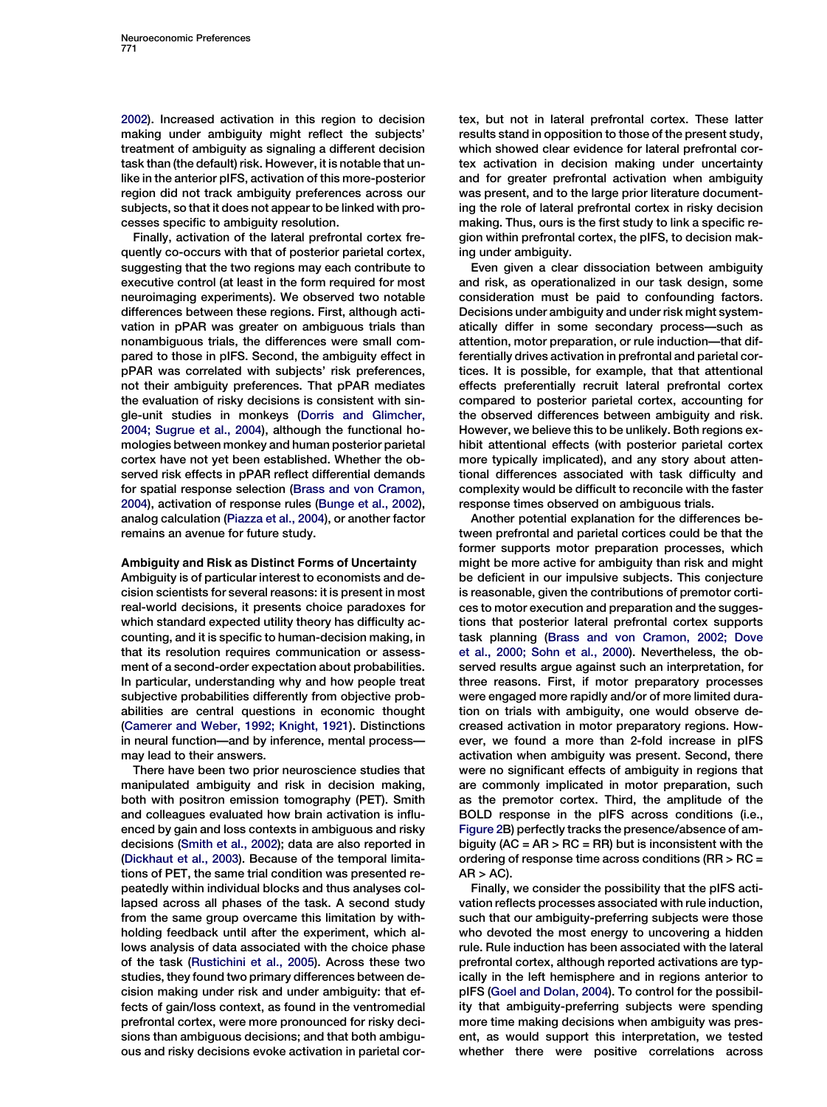[2002](#page-9-0)). Increased activation in this region to decision making under ambiguity might reflect the subjects' treatment of ambiguity as signaling a different decision task than (the default) risk. However, it is notable that unlike in the anterior pIFS, activation of this more-posterior region did not track ambiguity preferences across our subjects, so that it does not appear to be linked with processes specific to ambiguity resolution.

Finally, activation of the lateral prefrontal cortex frequently co-occurs with that of posterior parietal cortex, suggesting that the two regions may each contribute to executive control (at least in the form required for most neuroimaging experiments). We observed two notable differences between these regions. First, although activation in pPAR was greater on ambiguous trials than nonambiguous trials, the differences were small compared to those in pIFS. Second, the ambiguity effect in pPAR was correlated with subjects' risk preferences, not their ambiguity preferences. That pPAR mediates the evaluation of risky decisions is consistent with single-unit studies in monkeys ([Dorris and Glimcher,](#page-9-0) [2004; Sugrue et al., 2004](#page-9-0)), although the functional homologies between monkey and human posterior parietal cortex have not yet been established. Whether the observed risk effects in pPAR reflect differential demands for spatial response selection [\(Brass and von Cramon,](#page-9-0) [2004](#page-9-0)), activation of response rules [\(Bunge et al., 2002](#page-9-0)), analog calculation ([Piazza et al., 2004\)](#page-9-0), or another factor remains an avenue for future study.

## Ambiguity and Risk as Distinct Forms of Uncertainty

Ambiguity is of particular interest to economists and decision scientists for several reasons: it is present in most real-world decisions, it presents choice paradoxes for which standard expected utility theory has difficulty accounting, and it is specific to human-decision making, in that its resolution requires communication or assessment of a second-order expectation about probabilities. In particular, understanding why and how people treat subjective probabilities differently from objective probabilities are central questions in economic thought [\(Camerer and Weber, 1992; Knight, 1921](#page-9-0)). Distinctions in neural function—and by inference, mental process may lead to their answers.

There have been two prior neuroscience studies that manipulated ambiguity and risk in decision making, both with positron emission tomography (PET). Smith and colleagues evaluated how brain activation is influenced by gain and loss contexts in ambiguous and risky decisions [\(Smith et al., 2002](#page-9-0)); data are also reported in [\(Dickhaut et al., 2003\)](#page-9-0). Because of the temporal limitations of PET, the same trial condition was presented repeatedly within individual blocks and thus analyses collapsed across all phases of the task. A second study from the same group overcame this limitation by withholding feedback until after the experiment, which allows analysis of data associated with the choice phase of the task [\(Rustichini et al., 2005](#page-9-0)). Across these two studies, they found two primary differences between decision making under risk and under ambiguity: that effects of gain/loss context, as found in the ventromedial prefrontal cortex, were more pronounced for risky decisions than ambiguous decisions; and that both ambiguous and risky decisions evoke activation in parietal cortex, but not in lateral prefrontal cortex. These latter results stand in opposition to those of the present study, which showed clear evidence for lateral prefrontal cortex activation in decision making under uncertainty and for greater prefrontal activation when ambiguity was present, and to the large prior literature documenting the role of lateral prefrontal cortex in risky decision making. Thus, ours is the first study to link a specific region within prefrontal cortex, the pIFS, to decision making under ambiguity.

Even given a clear dissociation between ambiguity and risk, as operationalized in our task design, some consideration must be paid to confounding factors. Decisions under ambiguity and under risk might systematically differ in some secondary process—such as attention, motor preparation, or rule induction—that differentially drives activation in prefrontal and parietal cortices. It is possible, for example, that that attentional effects preferentially recruit lateral prefrontal cortex compared to posterior parietal cortex, accounting for the observed differences between ambiguity and risk. However, we believe this to be unlikely. Both regions exhibit attentional effects (with posterior parietal cortex more typically implicated), and any story about attentional differences associated with task difficulty and complexity would be difficult to reconcile with the faster response times observed on ambiguous trials.

Another potential explanation for the differences between prefrontal and parietal cortices could be that the former supports motor preparation processes, which might be more active for ambiguity than risk and might be deficient in our impulsive subjects. This conjecture is reasonable, given the contributions of premotor cortices to motor execution and preparation and the suggestions that posterior lateral prefrontal cortex supports task planning ([Brass and von Cramon, 2002; Dove](#page-9-0) [et al., 2000; Sohn et al., 2000](#page-9-0)). Nevertheless, the observed results argue against such an interpretation, for three reasons. First, if motor preparatory processes were engaged more rapidly and/or of more limited duration on trials with ambiguity, one would observe decreased activation in motor preparatory regions. However, we found a more than 2-fold increase in pIFS activation when ambiguity was present. Second, there were no significant effects of ambiguity in regions that are commonly implicated in motor preparation, such as the premotor cortex. Third, the amplitude of the BOLD response in the pIFS across conditions (i.e., [Figure 2B](#page-3-0)) perfectly tracks the presence/absence of ambiguity ( $AC = AR > RC = RR$ ) but is inconsistent with the ordering of response time across conditions (RR > RC =  $AR > AC$ ).

Finally, we consider the possibility that the pIFS activation reflects processes associated with rule induction, such that our ambiguity-preferring subjects were those who devoted the most energy to uncovering a hidden rule. Rule induction has been associated with the lateral prefrontal cortex, although reported activations are typically in the left hemisphere and in regions anterior to pIFS [\(Goel and Dolan, 2004](#page-9-0)). To control for the possibility that ambiguity-preferring subjects were spending more time making decisions when ambiguity was present, as would support this interpretation, we tested whether there were positive correlations across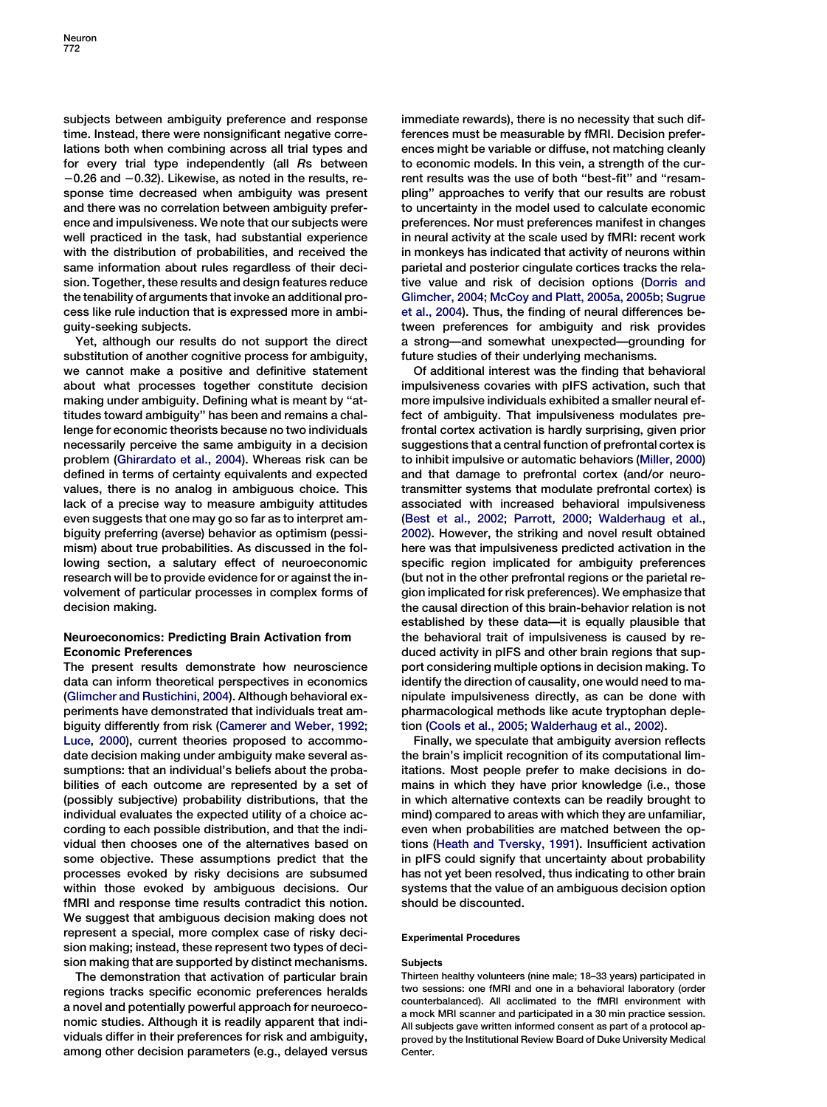<span id="page-7-0"></span>subjects between ambiguity preference and response time. Instead, there were nonsignificant negative correlations both when combining across all trial types and for every trial type independently (all Rs between  $-0.26$  and  $-0.32$ ). Likewise, as noted in the results, response time decreased when ambiguity was present and there was no correlation between ambiguity preference and impulsiveness. We note that our subjects were well practiced in the task, had substantial experience with the distribution of probabilities, and received the same information about rules regardless of their decision. Together, these results and design features reduce the tenability of arguments that invoke an additional process like rule induction that is expressed more in ambiguity-seeking subjects.

Yet, although our results do not support the direct substitution of another cognitive process for ambiguity, we cannot make a positive and definitive statement about what processes together constitute decision making under ambiguity. Defining what is meant by ''attitudes toward ambiguity'' has been and remains a challenge for economic theorists because no two individuals necessarily perceive the same ambiguity in a decision problem ([Ghirardato et al., 2004](#page-9-0)). Whereas risk can be defined in terms of certainty equivalents and expected values, there is no analog in ambiguous choice. This lack of a precise way to measure ambiguity attitudes even suggests that one may go so far as to interpret ambiguity preferring (averse) behavior as optimism (pessimism) about true probabilities. As discussed in the following section, a salutary effect of neuroeconomic research will be to provide evidence for or against the involvement of particular processes in complex forms of decision making.

# Neuroeconomics: Predicting Brain Activation from Economic Preferences

The present results demonstrate how neuroscience data can inform theoretical perspectives in economics [\(Glimcher and Rustichini, 2004](#page-9-0)). Although behavioral experiments have demonstrated that individuals treat ambiguity differently from risk [\(Camerer and Weber, 1992;](#page-9-0) [Luce, 2000](#page-9-0)), current theories proposed to accommodate decision making under ambiguity make several assumptions: that an individual's beliefs about the probabilities of each outcome are represented by a set of (possibly subjective) probability distributions, that the individual evaluates the expected utility of a choice according to each possible distribution, and that the individual then chooses one of the alternatives based on some objective. These assumptions predict that the processes evoked by risky decisions are subsumed within those evoked by ambiguous decisions. Our fMRI and response time results contradict this notion. We suggest that ambiguous decision making does not represent a special, more complex case of risky decision making; instead, these represent two types of decision making that are supported by distinct mechanisms.

The demonstration that activation of particular brain regions tracks specific economic preferences heralds a novel and potentially powerful approach for neuroeconomic studies. Although it is readily apparent that individuals differ in their preferences for risk and ambiguity, among other decision parameters (e.g., delayed versus

immediate rewards), there is no necessity that such differences must be measurable by fMRI. Decision preferences might be variable or diffuse, not matching cleanly to economic models. In this vein, a strength of the current results was the use of both ''best-fit'' and ''resampling'' approaches to verify that our results are robust to uncertainty in the model used to calculate economic preferences. Nor must preferences manifest in changes in neural activity at the scale used by fMRI: recent work in monkeys has indicated that activity of neurons within parietal and posterior cingulate cortices tracks the relative value and risk of decision options ([Dorris and](#page-9-0) [Glimcher, 2004; McCoy and Platt, 2005a, 2005b; Sugrue](#page-9-0) [et al., 2004](#page-9-0)). Thus, the finding of neural differences between preferences for ambiguity and risk provides a strong—and somewhat unexpected—grounding for future studies of their underlying mechanisms.

Of additional interest was the finding that behavioral impulsiveness covaries with pIFS activation, such that more impulsive individuals exhibited a smaller neural effect of ambiguity. That impulsiveness modulates prefrontal cortex activation is hardly surprising, given prior suggestions that a central function of prefrontal cortex is to inhibit impulsive or automatic behaviors ([Miller, 2000\)](#page-9-0) and that damage to prefrontal cortex (and/or neurotransmitter systems that modulate prefrontal cortex) is associated with increased behavioral impulsiveness [\(Best et al., 2002; Parrott, 2000; Walderhaug et al.,](#page-9-0) [2002\)](#page-9-0). However, the striking and novel result obtained here was that impulsiveness predicted activation in the specific region implicated for ambiguity preferences (but not in the other prefrontal regions or the parietal region implicated for risk preferences). We emphasize that the causal direction of this brain-behavior relation is not established by these data—it is equally plausible that the behavioral trait of impulsiveness is caused by reduced activity in pIFS and other brain regions that support considering multiple options in decision making. To identify the direction of causality, one would need to manipulate impulsiveness directly, as can be done with pharmacological methods like acute tryptophan depletion ([Cools et al., 2005; Walderhaug et al., 2002\)](#page-9-0).

Finally, we speculate that ambiguity aversion reflects the brain's implicit recognition of its computational limitations. Most people prefer to make decisions in domains in which they have prior knowledge (i.e., those in which alternative contexts can be readily brought to mind) compared to areas with which they are unfamiliar, even when probabilities are matched between the options ([Heath and Tversky, 1991](#page-9-0)). Insufficient activation in pIFS could signify that uncertainty about probability has not yet been resolved, thus indicating to other brain systems that the value of an ambiguous decision option should be discounted.

## Experimental Procedures

#### Subjects

Thirteen healthy volunteers (nine male; 18–33 years) participated in two sessions: one fMRI and one in a behavioral laboratory (order counterbalanced). All acclimated to the fMRI environment with a mock MRI scanner and participated in a 30 min practice session. All subiects gave written informed consent as part of a protocol approved by the Institutional Review Board of Duke University Medical Center.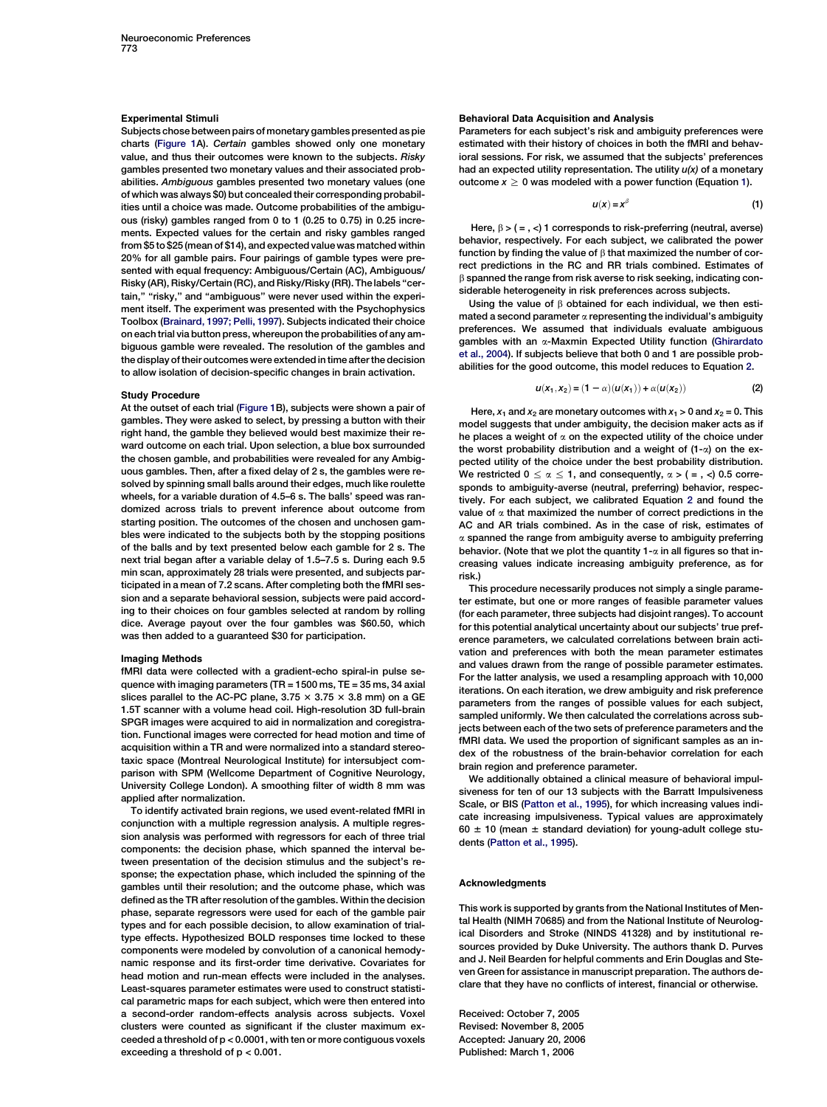#### Experimental Stimuli

Subjects chose between pairs of monetary gambles presented as pie charts [\(Figure 1](#page-1-0)A). Certain gambles showed only one monetary value, and thus their outcomes were known to the subjects. Risky gambles presented two monetary values and their associated probabilities. Ambiguous gambles presented two monetary values (one of which was always \$0) but concealed their corresponding probabilities until a choice was made. Outcome probabilities of the ambiguous (risky) gambles ranged from 0 to 1 (0.25 to 0.75) in 0.25 increments. Expected values for the certain and risky gambles ranged from \$5 to \$25 (mean of \$14), and expected value was matched within 20% for all gamble pairs. Four pairings of gamble types were presented with equal frequency: Ambiguous/Certain (AC), Ambiguous/ Risky (AR), Risky/Certain (RC), and Risky/Risky (RR). The labels ''certain," "risky," and "ambiguous" were never used within the experiment itself. The experiment was presented with the Psychophysics Toolbox [\(Brainard, 1997; Pelli, 1997\)](#page-9-0). Subjects indicated their choice on each trial via button press, whereupon the probabilities of any ambiguous gamble were revealed. The resolution of the gambles and the display of their outcomes were extended in time after the decision to allow isolation of decision-specific changes in brain activation.

#### Study Procedure

At the outset of each trial [\(Figure 1](#page-1-0)B), subjects were shown a pair of gambles. They were asked to select, by pressing a button with their right hand, the gamble they believed would best maximize their reward outcome on each trial. Upon selection, a blue box surrounded the chosen gamble, and probabilities were revealed for any Ambiguous gambles. Then, after a fixed delay of 2 s, the gambles were resolved by spinning small balls around their edges, much like roulette wheels, for a variable duration of 4.5–6 s. The balls' speed was randomized across trials to prevent inference about outcome from starting position. The outcomes of the chosen and unchosen gambles were indicated to the subjects both by the stopping positions of the balls and by text presented below each gamble for 2 s. The next trial began after a variable delay of 1.5–7.5 s. During each 9.5 min scan, approximately 28 trials were presented, and subjects participated in a mean of 7.2 scans. After completing both the fMRI session and a separate behavioral session, subjects were paid according to their choices on four gambles selected at random by rolling dice. Average payout over the four gambles was \$60.50, which was then added to a guaranteed \$30 for participation.

#### Imaging Methods

fMRI data were collected with a gradient-echo spiral-in pulse sequence with imaging parameters (TR = 1500 ms, TE = 35 ms, 34 axial slices parallel to the AC-PC plane,  $3.75 \times 3.75 \times 3.8$  mm) on a GE 1.5T scanner with a volume head coil. High-resolution 3D full-brain SPGR images were acquired to aid in normalization and coregistration. Functional images were corrected for head motion and time of acquisition within a TR and were normalized into a standard stereotaxic space (Montreal Neurological Institute) for intersubject comparison with SPM (Wellcome Department of Cognitive Neurology, University College London). A smoothing filter of width 8 mm was applied after normalization.

To identify activated brain regions, we used event-related fMRI in conjunction with a multiple regression analysis. A multiple regression analysis was performed with regressors for each of three trial components: the decision phase, which spanned the interval between presentation of the decision stimulus and the subject's response; the expectation phase, which included the spinning of the gambles until their resolution; and the outcome phase, which was defined as the TR after resolution of the gambles. Within the decision phase, separate regressors were used for each of the gamble pair types and for each possible decision, to allow examination of trialtype effects. Hypothesized BOLD responses time locked to these components were modeled by convolution of a canonical hemodynamic response and its first-order time derivative. Covariates for head motion and run-mean effects were included in the analyses. Least-squares parameter estimates were used to construct statistical parametric maps for each subject, which were then entered into a second-order random-effects analysis across subjects. Voxel clusters were counted as significant if the cluster maximum exceeded a threshold of p < 0.0001, with ten or more contiguous voxels exceeding a threshold of p < 0.001.

#### Behavioral Data Acquisition and Analysis

Parameters for each subject's risk and ambiguity preferences were estimated with their history of choices in both the fMRI and behavioral sessions. For risk, we assumed that the subjects' preferences had an expected utility representation. The utility  $u(x)$  of a monetary outcome  $x \geq 0$  was modeled with a power function (Equation 1).

$$
u(x) = x^{\beta} \tag{1}
$$

Here,  $\beta$  > ( = , <) 1 corresponds to risk-preferring (neutral, averse) behavior, respectively. For each subject, we calibrated the power function by finding the value of  $\beta$  that maximized the number of correct predictions in the RC and RR trials combined. Estimates of  $\beta$  spanned the range from risk averse to risk seeking, indicating considerable heterogeneity in risk preferences across subjects.

Using the value of  $\beta$  obtained for each individual, we then estimated a second parameter  $\alpha$  representing the individual's ambiguity preferences. We assumed that individuals evaluate ambiguous gambles with an  $\alpha$ -Maxmin Expected Utility function ([Ghirardato](#page-9-0) [et al., 2004](#page-9-0)). If subjects believe that both 0 and 1 are possible probabilities for the good outcome, this model reduces to Equation 2.

$$
u(x_1, x_2) = (1 - \alpha)(u(x_1)) + \alpha(u(x_2))
$$
 (2)

Here,  $x_1$  and  $x_2$  are monetary outcomes with  $x_1 > 0$  and  $x_2 = 0$ . This model suggests that under ambiguity, the decision maker acts as if he places a weight of  $\alpha$  on the expected utility of the choice under the worst probability distribution and a weight of  $(1-x)$  on the expected utility of the choice under the best probability distribution. We restricted  $0 \le \alpha \le 1$ , and consequently,  $\alpha$  > ( = , <) 0.5 corresponds to ambiguity-averse (neutral, preferring) behavior, respectively. For each subject, we calibrated Equation 2 and found the value of  $\alpha$  that maximized the number of correct predictions in the AC and AR trials combined. As in the case of risk, estimates of  $\alpha$  spanned the range from ambiguity averse to ambiguity preferring behavior. (Note that we plot the quantity 1- $\alpha$  in all figures so that increasing values indicate increasing ambiguity preference, as for risk.)

This procedure necessarily produces not simply a single parameter estimate, but one or more ranges of feasible parameter values (for each parameter, three subjects had disjoint ranges). To account for this potential analytical uncertainty about our subjects' true preference parameters, we calculated correlations between brain activation and preferences with both the mean parameter estimates and values drawn from the range of possible parameter estimates. For the latter analysis, we used a resampling approach with 10,000 iterations. On each iteration, we drew ambiguity and risk preference parameters from the ranges of possible values for each subject, sampled uniformly. We then calculated the correlations across subjects between each of the two sets of preference parameters and the fMRI data. We used the proportion of significant samples as an index of the robustness of the brain-behavior correlation for each brain region and preference parameter.

We additionally obtained a clinical measure of behavioral impulsiveness for ten of our 13 subjects with the Barratt Impulsiveness Scale, or BIS ([Patton et al., 1995\)](#page-9-0), for which increasing values indicate increasing impulsiveness. Typical values are approximately 60  $\pm$  10 (mean  $\pm$  standard deviation) for young-adult college students ([Patton et al., 1995](#page-9-0)).

#### **Acknowledaments**

This work is supported by grants from the National Institutes of Mental Health (NIMH 70685) and from the National Institute of Neurological Disorders and Stroke (NINDS 41328) and by institutional resources provided by Duke University. The authors thank D. Purves and J. Neil Bearden for helpful comments and Erin Douglas and Steven Green for assistance in manuscript preparation. The authors declare that they have no conflicts of interest, financial or otherwise.

Received: October 7, 2005 Revised: November 8, 2005 Accepted: January 20, 2006 Published: March 1, 2006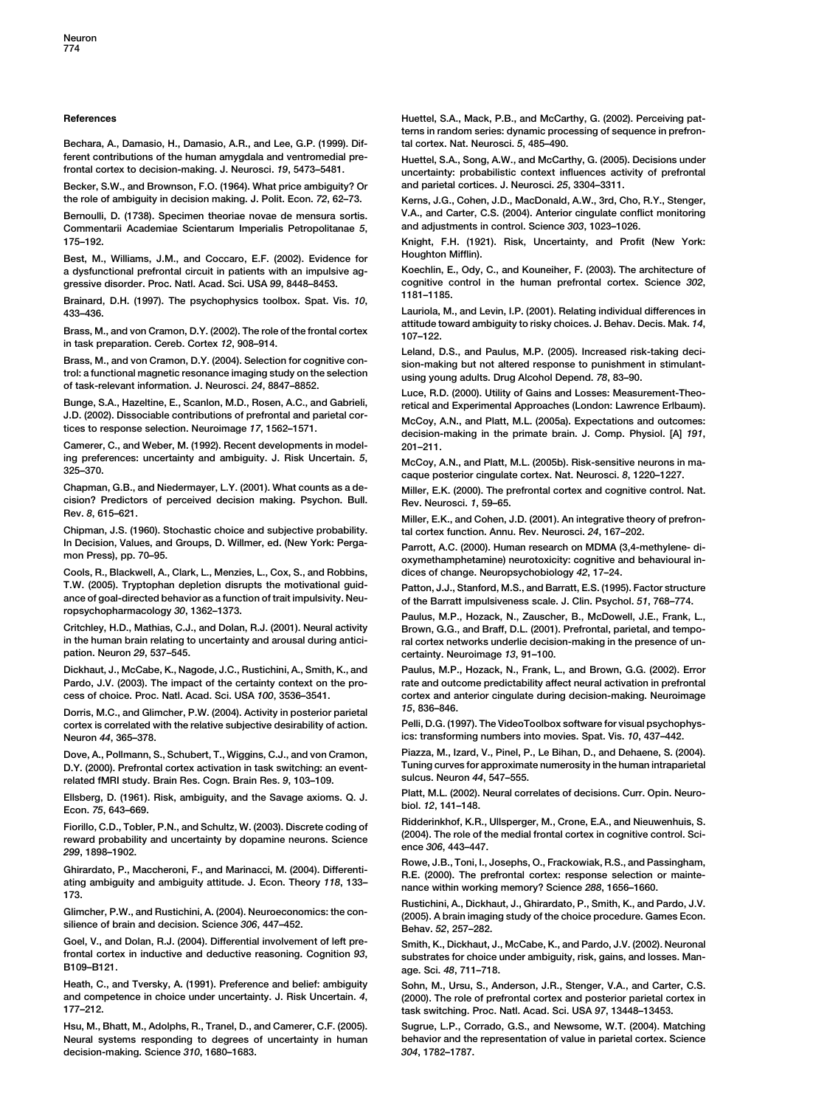#### <span id="page-9-0"></span>References

Bechara, A., Damasio, H., Damasio, A.R., and Lee, G.P. (1999). Different contributions of the human amygdala and ventromedial prefrontal cortex to decision-making. J. Neurosci. 19, 5473–5481.

Becker, S.W., and Brownson, F.O. (1964). What price ambiguity? Or the role of ambiguity in decision making. J. Polit. Econ. 72, 62–73.

Bernoulli, D. (1738). Specimen theoriae novae de mensura sortis. Commentarii Academiae Scientarum Imperialis Petropolitanae 5, 175–192.

Best, M., Williams, J.M., and Coccaro, E.F. (2002). Evidence for a dysfunctional prefrontal circuit in patients with an impulsive aggressive disorder. Proc. Natl. Acad. Sci. USA 99, 8448–8453.

Brainard, D.H. (1997). The psychophysics toolbox. Spat. Vis. 10, 433–436.

Brass, M., and von Cramon, D.Y. (2002). The role of the frontal cortex in task preparation. Cereb. Cortex 12, 908–914.

Brass, M., and von Cramon, D.Y. (2004). Selection for cognitive control: a functional magnetic resonance imaging study on the selection of task-relevant information. J. Neurosci. 24, 8847–8852.

Bunge, S.A., Hazeltine, E., Scanlon, M.D., Rosen, A.C., and Gabrieli, J.D. (2002). Dissociable contributions of prefrontal and parietal cortices to response selection. Neuroimage 17, 1562–1571.

Camerer, C., and Weber, M. (1992). Recent developments in modeling preferences: uncertainty and ambiguity. J. Risk Uncertain. 5, 325–370.

Chapman, G.B., and Niedermayer, L.Y. (2001). What counts as a decision? Predictors of perceived decision making. Psychon. Bull. Rev. 8, 615–621.

Chipman, J.S. (1960). Stochastic choice and subjective probability. In Decision, Values, and Groups, D. Willmer, ed. (New York: Pergamon Press), pp. 70–95.

Cools, R., Blackwell, A., Clark, L., Menzies, L., Cox, S., and Robbins, T.W. (2005). Tryptophan depletion disrupts the motivational guidance of goal-directed behavior as a function of trait impulsivity. Neuropsychopharmacology 30, 1362–1373.

Critchley, H.D., Mathias, C.J., and Dolan, R.J. (2001). Neural activity in the human brain relating to uncertainty and arousal during anticipation. Neuron 29, 537–545.

Dickhaut, J., McCabe, K., Nagode, J.C., Rustichini, A., Smith, K., and Pardo, J.V. (2003). The impact of the certainty context on the process of choice. Proc. Natl. Acad. Sci. USA 100, 3536–3541.

Dorris, M.C., and Glimcher, P.W. (2004). Activity in posterior parietal cortex is correlated with the relative subjective desirability of action. Neuron 44, 365–378.

Dove, A., Pollmann, S., Schubert, T., Wiggins, C.J., and von Cramon, D.Y. (2000). Prefrontal cortex activation in task switching: an eventrelated fMRI study. Brain Res. Cogn. Brain Res. 9, 103–109.

Ellsberg, D. (1961). Risk, ambiguity, and the Savage axioms. Q. J. Econ. 75, 643–669.

Fiorillo, C.D., Tobler, P.N., and Schultz, W. (2003). Discrete coding of reward probability and uncertainty by dopamine neurons. Science 299, 1898–1902.

Ghirardato, P., Maccheroni, F., and Marinacci, M. (2004). Differentiating ambiguity and ambiguity attitude. J. Econ. Theory 118, 133– 173.

Glimcher, P.W., and Rustichini, A. (2004). Neuroeconomics: the consilience of brain and decision. Science 306, 447–452.

Goel, V., and Dolan, R.J. (2004). Differential involvement of left prefrontal cortex in inductive and deductive reasoning. Cognition 93, B109–B121.

Heath, C., and Tversky, A. (1991). Preference and belief: ambiguity and competence in choice under uncertainty. J. Risk Uncertain. 4, 177–212.

Hsu, M., Bhatt, M., Adolphs, R., Tranel, D., and Camerer, C.F. (2005). Neural systems responding to degrees of uncertainty in human decision-making. Science 310, 1680–1683.

Huettel, S.A., Mack, P.B., and McCarthy, G. (2002). Perceiving patterns in random series: dynamic processing of sequence in prefrontal cortex. Nat. Neurosci. 5, 485–490.

Huettel, S.A., Song, A.W., and McCarthy, G. (2005). Decisions under uncertainty: probabilistic context influences activity of prefrontal and parietal cortices. J. Neurosci. 25, 3304–3311.

Kerns, J.G., Cohen, J.D., MacDonald, A.W., 3rd, Cho, R.Y., Stenger, V.A., and Carter, C.S. (2004). Anterior cingulate conflict monitoring and adjustments in control. Science 303, 1023–1026.

Knight, F.H. (1921). Risk, Uncertainty, and Profit (New York: Houghton Mifflin).

Koechlin, E., Ody, C., and Kouneiher, F. (2003). The architecture of cognitive control in the human prefrontal cortex. Science 302, 1181–1185.

Lauriola, M., and Levin, I.P. (2001). Relating individual differences in attitude toward ambiguity to risky choices. J. Behav. Decis. Mak. 14, 107–122.

Leland, D.S., and Paulus, M.P. (2005). Increased risk-taking decision-making but not altered response to punishment in stimulantusing young adults. Drug Alcohol Depend. 78, 83–90.

Luce, R.D. (2000). Utility of Gains and Losses: Measurement-Theoretical and Experimental Approaches (London: Lawrence Erlbaum).

McCoy, A.N., and Platt, M.L. (2005a). Expectations and outcomes: decision-making in the primate brain. J. Comp. Physiol. [A] 191, 201–211.

McCoy, A.N., and Platt, M.L. (2005b). Risk-sensitive neurons in macaque posterior cingulate cortex. Nat. Neurosci. 8, 1220–1227.

Miller, E.K. (2000). The prefrontal cortex and cognitive control. Nat. Rev. Neurosci. 1, 59–65.

Miller, E.K., and Cohen, J.D. (2001). An integrative theory of prefrontal cortex function. Annu. Rev. Neurosci. 24, 167–202.

Parrott, A.C. (2000). Human research on MDMA (3,4-methylene- dioxymethamphetamine) neurotoxicity: cognitive and behavioural indices of change. Neuropsychobiology 42, 17–24.

Patton, J.J., Stanford, M.S., and Barratt, E.S. (1995). Factor structure of the Barratt impulsiveness scale. J. Clin. Psychol. 51, 768–774.

Paulus, M.P., Hozack, N., Zauscher, B., McDowell, J.E., Frank, L., Brown, G.G., and Braff, D.L. (2001). Prefrontal, parietal, and temporal cortex networks underlie decision-making in the presence of uncertainty. Neuroimage 13, 91–100.

Paulus, M.P., Hozack, N., Frank, L., and Brown, G.G. (2002). Error rate and outcome predictability affect neural activation in prefrontal cortex and anterior cingulate during decision-making. Neuroimage 15, 836–846.

Pelli, D.G. (1997). The VideoToolbox software for visual psychophysics: transforming numbers into movies. Spat. Vis. 10, 437–442.

Piazza, M., Izard, V., Pinel, P., Le Bihan, D., and Dehaene, S. (2004). Tuning curves for approximate numerosity in the human intraparietal sulcus. Neuron 44, 547–555.

Platt, M.L. (2002). Neural correlates of decisions. Curr. Opin. Neurobiol. 12, 141–148.

Ridderinkhof, K.R., Ullsperger, M., Crone, E.A., and Nieuwenhuis, S. (2004). The role of the medial frontal cortex in cognitive control. Science 306, 443–447.

Rowe, J.B., Toni, I., Josephs, O., Frackowiak, R.S., and Passingham, R.E. (2000). The prefrontal cortex: response selection or maintenance within working memory? Science 288, 1656–1660.

Rustichini, A., Dickhaut, J., Ghirardato, P., Smith, K., and Pardo, J.V. (2005). A brain imaging study of the choice procedure. Games Econ. Behav. 52, 257–282.

Smith, K., Dickhaut, J., McCabe, K., and Pardo, J.V. (2002). Neuronal substrates for choice under ambiguity, risk, gains, and losses. Manage. Sci. 48, 711–718.

Sohn, M., Ursu, S., Anderson, J.R., Stenger, V.A., and Carter, C.S. (2000). The role of prefrontal cortex and posterior parietal cortex in task switching. Proc. Natl. Acad. Sci. USA 97, 13448–13453.

Sugrue, L.P., Corrado, G.S., and Newsome, W.T. (2004). Matching behavior and the representation of value in parietal cortex. Science 304, 1782–1787.